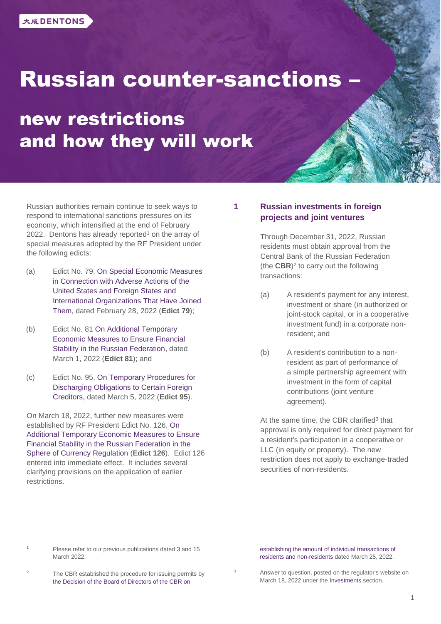# **Russian counter-sanctions -**

# new restrictions and how they will work

Russian authorities remain continue to seek ways to respond to international sanctions pressures on its economy, which intensified at the end of February 2022. Dentons has already reported<sup>1</sup> on the array of special measures adopted by the RF President under the following edicts:

- (a) Edict No. 79, [On Special Economic Measures](http://publication.pravo.gov.ru/Document/View/0001202202280049)  [in Connection with Adverse Actions of the](http://publication.pravo.gov.ru/Document/View/0001202202280049)  [United States and Foreign States and](http://publication.pravo.gov.ru/Document/View/0001202202280049)  [International Organizations That Have Joined](http://publication.pravo.gov.ru/Document/View/0001202202280049)  [Them,](http://publication.pravo.gov.ru/Document/View/0001202202280049) dated February 28, 2022 (**Edict 79**);
- (b) Edict No. 81 [On Additional Temporary](http://publication.pravo.gov.ru/Document/View/0001202203010083)  [Economic Measures to Ensure Financial](http://publication.pravo.gov.ru/Document/View/0001202203010083)  [Stability in the Russian Federation,](http://publication.pravo.gov.ru/Document/View/0001202203010083) dated March 1, 2022 (**Edict 81**); and
- (c) Edict No. 95, [On Temporary Procedures for](http://publication.pravo.gov.ru/Document/View/0001202203050062)  [Discharging Obligations to Certain Foreign](http://publication.pravo.gov.ru/Document/View/0001202203050062)  [Creditors,](http://publication.pravo.gov.ru/Document/View/0001202203050062) dated March 5, 2022 (**Edict 95**).

On March 18, 2022, further new measures were established by RF President Edict No. 126, [On](http://publication.pravo.gov.ru/Document/View/0001202203180017) [Additional Temporary Economic Measures to Ensure](http://publication.pravo.gov.ru/Document/View/0001202203180017)  [Financial Stability in the Russian Federation in the](http://publication.pravo.gov.ru/Document/View/0001202203180017)  [Sphere of Currency Regulation](http://publication.pravo.gov.ru/Document/View/0001202203180017) (**Edict 126**). Edict 126 entered into immediate effect. It includes several clarifying provisions on the application of earlier restrictions.

# **1 Russian investments in foreign projects and joint ventures**

Through December 31, 2022, Russian residents must obtain approval from the Central Bank of the Russian Federation (the  $CBR$ )<sup>2</sup> to carry out the following transactions:

- (a) A resident's payment for any interest, investment or share (in authorized or joint-stock capital, or in a cooperative investment fund) in a corporate nonresident; and
- (b) A resident's contribution to a nonresident as part of performance of a simple partnership agreement with investment in the form of capital contributions (joint venture agreement).

At the same time, the CBR clarified<sup>3</sup> that approval is only required for direct payment for a resident's participation in a cooperative or LLC (in equity or property). The new restriction does not apply to exchange-traded securities of non-residents.

Please refer to our previous publications date[d 3](https://www.dentons.com/ru/insights/articles/2022/march/3/russia-sanctions-capital-controls-countermeasures) and [15](https://www.dentons.com/ru/insights/articles/2022/march/15/russia-counter-sanctions-temporary-procedure-for-repaying-debt-to-foreign-creditors) March 2022.

[establishing the amount of individual transactions of](https://www.cbr.ru/about_br/dir/rsd_2022-03-25_2/)  [residents and non-residents](https://www.cbr.ru/about_br/dir/rsd_2022-03-25_2/) dated March 25, 2022.

The CBR established the procedure for issuing permits by [the Decision of the Board of Directors of the CBR on](https://www.cbr.ru/about_br/dir/rsd_2022-03-25_2/) 

Answer to question, posted on the regulator's website on March 18, 2022 under the [Investments](https://www.cbr.ru/faq/w_fin_sector/) section.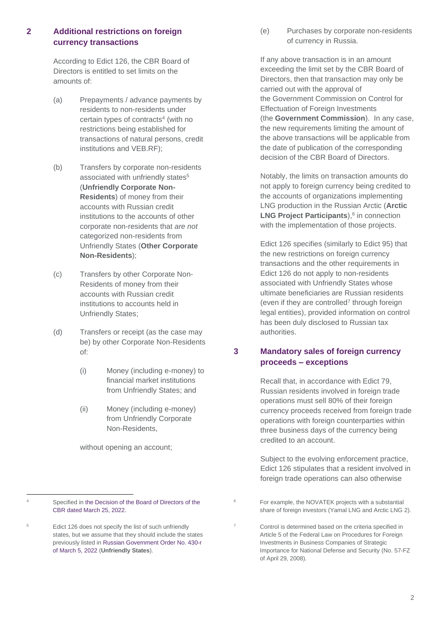# **2 Additional restrictions on foreign currency transactions**

According to Edict 126, the CBR Board of Directors is entitled to set limits on the amounts of:

- (a) Prepayments / advance payments by residents to non-residents under certain types of contracts<sup>4</sup> (with no restrictions being established for transactions of natural persons, credit institutions and VEB.RF);
- (b) Transfers by corporate non-residents associated with unfriendly states<sup>5</sup> (**Unfriendly Corporate Non-Residents**) of money from their accounts with Russian credit institutions to the accounts of other corporate non-residents that *are not* categorized non-residents from Unfriendly States (**Other Corporate Non-Residents**);
- (c) Transfers by other Corporate Non-Residents of money from their accounts with Russian credit institutions to accounts held in Unfriendly States;
- (d) Transfers or receipt (as the case may be) by other Corporate Non-Residents of:
	- (i) Money (including e-money) to financial market institutions from Unfriendly States; and
	- (ii) Money (including e-money) from Unfriendly Corporate Non-Residents,

without opening an account;

(e) Purchases by corporate non-residents of currency in Russia.

If any above transaction is in an amount exceeding the limit set by the CBR Board of Directors, then that transaction may only be carried out with the approval of the Government Commission on Control for Effectuation of Foreign Investments (the **Government Commission**). In any case, the new requirements limiting the amount of the above transactions will be applicable from the date of publication of the corresponding decision of the CBR Board of Directors.

Notably, the limits on transaction amounts do not apply to foreign currency being credited to the accounts of organizations implementing LNG production in the Russian Arctic (**Arctic LNG Project Participants**),<sup>6</sup> in connection with the implementation of those projects.

Edict 126 specifies (similarly to Edict 95) that the new restrictions on foreign currency transactions and the other requirements in Edict 126 do not apply to non-residents associated with Unfriendly States whose ultimate beneficiaries are Russian residents (even if they are controlled<sup>7</sup> through foreign legal entities), provided information on control has been duly disclosed to Russian tax authorities.

# **3 Mandatory sales of foreign currency proceeds – exceptions**

Recall that, in accordance with Edict 79, Russian residents involved in foreign trade operations must sell 80% of their foreign currency proceeds received from foreign trade operations with foreign counterparties within three business days of the currency being credited to an account.

Subject to the evolving enforcement practice, Edict 126 stipulates that a resident involved in foreign trade operations can also otherwise

<sup>4</sup> Specified in [the Decision of the Board of Directors of the](https://www.cbr.ru/about_br/dir/rsd_2022-03-25_1/)  [CBR dated March 25, 2022.](https://www.cbr.ru/about_br/dir/rsd_2022-03-25_1/)

<sup>5</sup> Edict 126 does not specify the list of such unfriendly states, but we assume that they should include the states previously listed in Russian [Government](http://publication.pravo.gov.ru/Document/View/0001202203070001) Order No. 430-r of [March 5,](http://publication.pravo.gov.ru/Document/View/0001202203070001) 2022 (**Unfriendly States**).

<sup>&</sup>lt;sup>6</sup> For example, the NOVATEK projects with a substantial share of foreign investors (Yamal LNG and Arctic LNG 2).

<sup>7</sup> Control is determined based on the criteria specified in Article 5 of the Federal Law on Procedures for Foreign Investments in Business Companies of Strategic Importance for National Defense and Security (No. 57-FZ of April 29, 2008).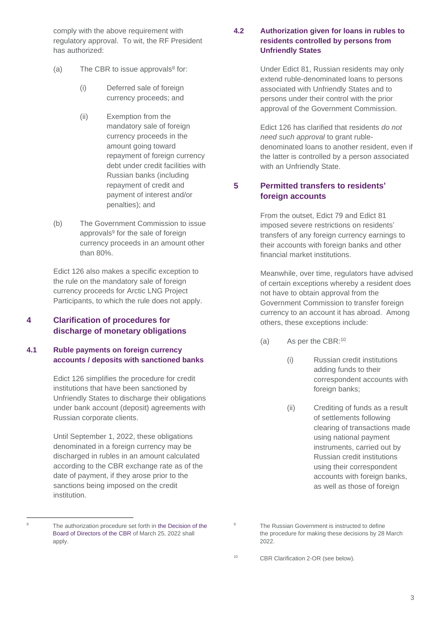comply with the above requirement with regulatory approval. To wit, the RF President has authorized:

- (a) The CBR to issue approvals $8$  for:
	- (i) Deferred sale of foreign currency proceeds; and
	- (ii) Exemption from the mandatory sale of foreign currency proceeds in the amount going toward repayment of foreign currency debt under credit facilities with Russian banks (including repayment of credit and payment of interest and/or penalties); and
- (b) The Government Commission to issue approvals<sup>9</sup> for the sale of foreign currency proceeds in an amount other than 80%.

Edict 126 also makes a specific exception to the rule on the mandatory sale of foreign currency proceeds for Arctic LNG Project Participants, to which the rule does not apply.

# **4 Clarification of procedures for discharge of monetary obligations**

#### **4.1 Ruble payments on foreign currency accounts / deposits with sanctioned banks**

Edict 126 simplifies the procedure for credit institutions that have been sanctioned by Unfriendly States to discharge their obligations under bank account (deposit) agreements with Russian corporate clients.

Until September 1, 2022, these obligations denominated in a foreign currency may be discharged in rubles in an amount calculated according to the CBR exchange rate as of the date of payment, if they arose prior to the sanctions being imposed on the credit institution.

#### **4.2 Authorization given for loans in rubles to residents controlled by persons from Unfriendly States**

Under Edict 81, Russian residents may only extend ruble-denominated loans to persons associated with Unfriendly States and to persons under their control with the prior approval of the Government Commission.

Edict 126 has clarified that residents *do not need such approval* to grant rubledenominated loans to another resident, even if the latter is controlled by a person associated with an Unfriendly State.

# **5 Permitted transfers to residents' foreign accounts**

From the outset, Edict 79 and Edict 81 imposed severe restrictions on residents' transfers of any foreign currency earnings to their accounts with foreign banks and other financial market institutions.

Meanwhile, over time, regulators have advised of certain exceptions whereby a resident does not have to obtain approval from the Government Commission to transfer foreign currency to an account it has abroad. Among others, these exceptions include:

- (a) As per the CBR: 10
	- (i) Russian credit institutions adding funds to their correspondent accounts with foreign banks;
	- (ii) Crediting of funds as a result of settlements following clearing of transactions made using national payment instruments, carried out by Russian credit institutions using their correspondent accounts with foreign banks, as well as those of foreign

The authorization procedure set forth in the Decision of the [Board of Directors of the CBR](https://www.cbr.ru/about_br/dir/rsd_2022-03-25_2/) of March 25, 2022 shall apply.

<sup>&</sup>lt;sup>9</sup> The Russian Government is instructed to define the procedure for making these decisions by 28 March 2022.

<sup>10</sup> CBR Clarification 2-OR (see below).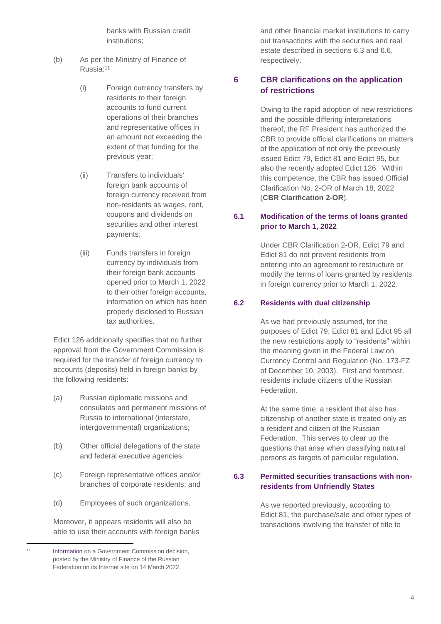banks with Russian credit institutions;

- (b) As per the Ministry of Finance of Russia: 11
	- (i) Foreign currency transfers by residents to their foreign accounts to fund current operations of their branches and representative offices in an amount not exceeding the extent of that funding for the previous year;
	- (ii) Transfers to individuals' foreign bank accounts of foreign currency received from non-residents as wages, rent, coupons and dividends on securities and other interest payments;
	- (iii) Funds transfers in foreign currency by individuals from their foreign bank accounts opened prior to March 1, 2022 to their other foreign accounts, information on which has been properly disclosed to Russian tax authorities.

Edict 126 additionally specifies that no further approval from the Government Commission is required for the transfer of foreign currency to accounts (deposits) held in foreign banks by the following residents:

- (a) Russian diplomatic missions and consulates and permanent missions of Russia to international (interstate, intergovernmental) organizations;
- (b) Other official delegations of the state and federal executive agencies;
- (c) Foreign representative offices and/or branches of corporate residents; and
- (d) Employees of such organizations.

Moreover, it appears residents will also be able to use their accounts with foreign banks and other financial market institutions to carry out transactions with the securities and real estate described in sections [6.3](#page-3-0) and [6.6,](#page-5-0) respectively.

# **6 CBR clarifications on the application of restrictions**

Owing to the rapid adoption of new restrictions and the possible differing interpretations thereof, the RF President has authorized the CBR to provide official clarifications on matters of the application of not only the previously issued Edict 79, Edict 81 and Edict 95, but also the recently adopted Edict 126. Within this competence, the CBR has issued Official Clarification No. 2-OR of March 18, 2022 (**CBR Clarification 2-OR**).

# **6.1 Modification of the terms of loans granted prior to March 1, 2022**

Under CBR Clarification 2-OR, Edict 79 and Edict 81 do not prevent residents from entering into an agreement to restructure or modify the terms of loans granted by residents in foreign currency prior to March 1, 2022.

#### **6.2 Residents with dual citizenship**

As we had previously assumed, for the purposes of Edict 79, Edict 81 and Edict 95 all the new restrictions apply to "residents" within the meaning given in the Federal Law on Currency Control and Regulation (No. 173-FZ of December 10, 2003). First and foremost, residents include citizens of the Russian Federation.

At the same time, a resident that also has citizenship of another state is treated only as a resident and citizen of the Russian Federation. This serves to clear up the questions that arise when classifying natural persons as targets of particular regulation.

### <span id="page-3-0"></span>**6.3 Permitted securities transactions with nonresidents from Unfriendly States**

As we reported previously, according to Edict 81, the purchase/sale and other types of transactions involving the transfer of title to

4

<sup>11</sup> **[Information](https://minfin.gov.ru/ru/press-center/?id_4=37806-rezidenty_smogut_zachislyat_valyutu_na_svoi_scheta_v_inostrannykh_bankakh_dlya_finansirovaniya_tekushchei_dyeyatelnosti) on a Government Commission decision,** posted by the Ministry of Finance of the Russian Federation on its Internet site on 14 March 2022.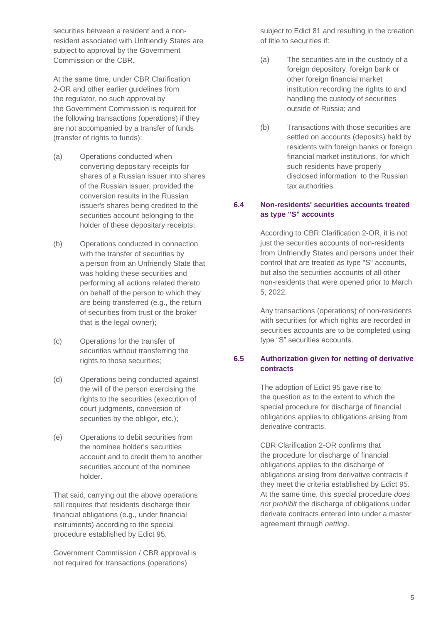securities between a resident and a nonresident associated with Unfriendly States are subject to approval by the Government Commission or the CBR.

At the same time, under CBR Clarification 2-OR and other earlier guidelines from the regulator, no such approval by the Government Commission is required for the following transactions (operations) if they are not accompanied by a transfer of funds (transfer of rights to funds):

- (a) Operations conducted when converting depositary receipts for shares of a Russian issuer into shares of the Russian issuer, provided the conversion results in the Russian issuer's shares being credited to the securities account belonging to the holder of these depositary receipts;
- (b) Operations conducted in connection with the transfer of securities by a person from an Unfriendly State that was holding these securities and performing all actions related thereto on behalf of the person to which they are being transferred (e.g., the return of securities from trust or the broker that is the legal owner);
- (c) Operations for the transfer of securities without transferring the rights to those securities;
- (d) Operations being conducted against the will of the person exercising the rights to the securities (execution of court judgments, conversion of securities by the obligor, etc.);
- (e) Operations to debit securities from the nominee holder's securities account and to credit them to another securities account of the nominee holder.

That said, carrying out the above operations still requires that residents discharge their financial obligations (e.g., under financial instruments) according to the special procedure established by Edict 95.

Government Commission / CBR approval is not required for transactions (operations)

subject to Edict 81 and resulting in the creation of title to securities if:

- (a) The securities are in the custody of a foreign depository, foreign bank or other foreign financial market institution recording the rights to and handling the custody of securities outside of Russia; and
- (b) Transactions with those securities are settled on accounts (deposits) held by residents with foreign banks or foreign financial market institutions, for which such residents have properly disclosed information to the Russian tax authorities.

### **6.4 Non-residents' securities accounts treated as type "S" accounts**

According to CBR Clarification 2-OR, it is not just the securities accounts of non-residents from Unfriendly States and persons under their control that are treated as type "S" accounts, but also the securities accounts of all other non-residents that were opened prior to March 5, 2022.

Any transactions (operations) of non-residents with securities for which rights are recorded in securities accounts are to be completed using type "S" securities accounts.

# **6.5 Authorization given for netting of derivative contracts**

The adoption of Edict 95 gave rise to the question as to the extent to which the special procedure for discharge of financial obligations applies to obligations arising from derivative contracts.

CBR Clarification 2-OR confirms that the procedure for discharge of financial obligations applies to the discharge of obligations arising from derivative contracts if they meet the criteria established by Edict 95. At the same time, this special procedure *does not prohibit* the discharge of obligations under derivate contracts entered into under a master agreement through *netting*.